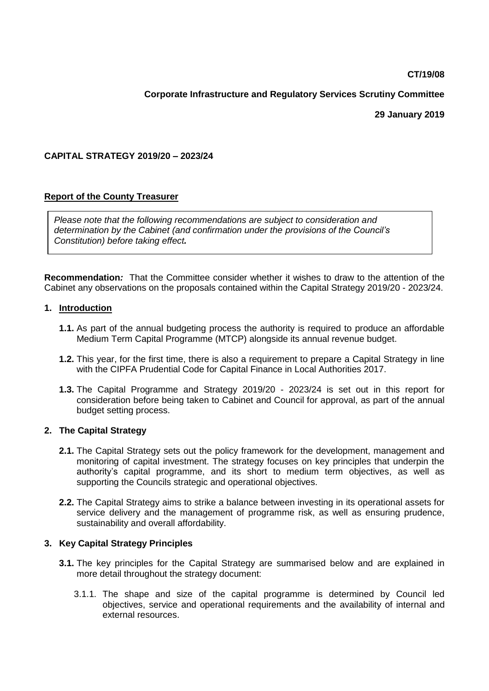**CT/19/08**

# **Corporate Infrastructure and Regulatory Services Scrutiny Committee**

**29 January 2019**

### **CAPITAL STRATEGY 2019/20 – 2023/24**

## **Report of the County Treasurer**

*Please note that the following recommendations are subject to consideration and determination by the Cabinet (and confirmation under the provisions of the Council's Constitution) before taking effect.* 

**Recommendation***:* That the Committee consider whether it wishes to draw to the attention of the Cabinet any observations on the proposals contained within the Capital Strategy 2019/20 - 2023/24.

### **1. Introduction**

- **1.1.** As part of the annual budgeting process the authority is required to produce an affordable Medium Term Capital Programme (MTCP) alongside its annual revenue budget.
- **1.2.** This year, for the first time, there is also a requirement to prepare a Capital Strategy in line with the CIPFA Prudential Code for Capital Finance in Local Authorities 2017.
- **1.3.** The Capital Programme and Strategy 2019/20 2023/24 is set out in this report for consideration before being taken to Cabinet and Council for approval, as part of the annual budget setting process.

### **2. The Capital Strategy**

- **2.1.** The Capital Strategy sets out the policy framework for the development, management and monitoring of capital investment. The strategy focuses on key principles that underpin the authority's capital programme, and its short to medium term objectives, as well as supporting the Councils strategic and operational objectives.
- **2.2.** The Capital Strategy aims to strike a balance between investing in its operational assets for service delivery and the management of programme risk, as well as ensuring prudence, sustainability and overall affordability.

### **3. Key Capital Strategy Principles**

- **3.1.** The key principles for the Capital Strategy are summarised below and are explained in more detail throughout the strategy document:
	- 3.1.1. The shape and size of the capital programme is determined by Council led objectives, service and operational requirements and the availability of internal and external resources.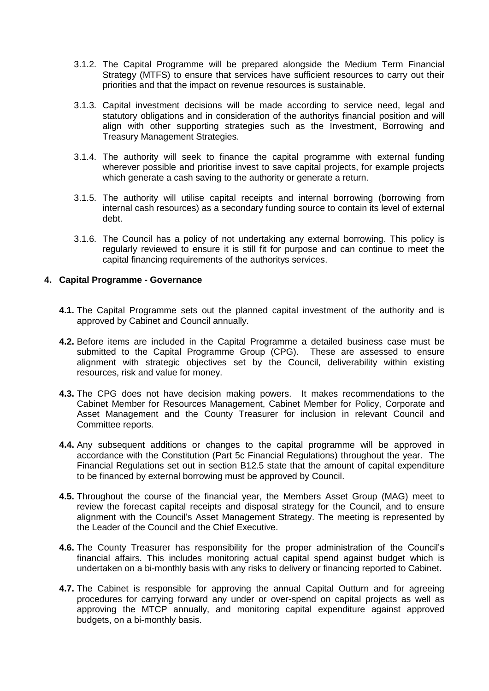- 3.1.2. The Capital Programme will be prepared alongside the Medium Term Financial Strategy (MTFS) to ensure that services have sufficient resources to carry out their priorities and that the impact on revenue resources is sustainable.
- 3.1.3. Capital investment decisions will be made according to service need, legal and statutory obligations and in consideration of the authoritys financial position and will align with other supporting strategies such as the Investment, Borrowing and Treasury Management Strategies.
- 3.1.4. The authority will seek to finance the capital programme with external funding wherever possible and prioritise invest to save capital projects, for example projects which generate a cash saving to the authority or generate a return.
- 3.1.5. The authority will utilise capital receipts and internal borrowing (borrowing from internal cash resources) as a secondary funding source to contain its level of external debt.
- 3.1.6. The Council has a policy of not undertaking any external borrowing. This policy is regularly reviewed to ensure it is still fit for purpose and can continue to meet the capital financing requirements of the authoritys services.

#### **4. Capital Programme - Governance**

- **4.1.** The Capital Programme sets out the planned capital investment of the authority and is approved by Cabinet and Council annually.
- **4.2.** Before items are included in the Capital Programme a detailed business case must be submitted to the Capital Programme Group (CPG). These are assessed to ensure alignment with strategic objectives set by the Council, deliverability within existing resources, risk and value for money.
- **4.3.** The CPG does not have decision making powers. It makes recommendations to the Cabinet Member for Resources Management, Cabinet Member for Policy, Corporate and Asset Management and the County Treasurer for inclusion in relevant Council and Committee reports.
- **4.4.** Any subsequent additions or changes to the capital programme will be approved in accordance with the Constitution (Part 5c Financial Regulations) throughout the year. The Financial Regulations set out in section B12.5 state that the amount of capital expenditure to be financed by external borrowing must be approved by Council.
- **4.5.** Throughout the course of the financial year, the Members Asset Group (MAG) meet to review the forecast capital receipts and disposal strategy for the Council, and to ensure alignment with the Council's Asset Management Strategy. The meeting is represented by the Leader of the Council and the Chief Executive.
- **4.6.** The County Treasurer has responsibility for the proper administration of the Council's financial affairs. This includes monitoring actual capital spend against budget which is undertaken on a bi-monthly basis with any risks to delivery or financing reported to Cabinet.
- **4.7.** The Cabinet is responsible for approving the annual Capital Outturn and for agreeing procedures for carrying forward any under or over-spend on capital projects as well as approving the MTCP annually, and monitoring capital expenditure against approved budgets, on a bi-monthly basis.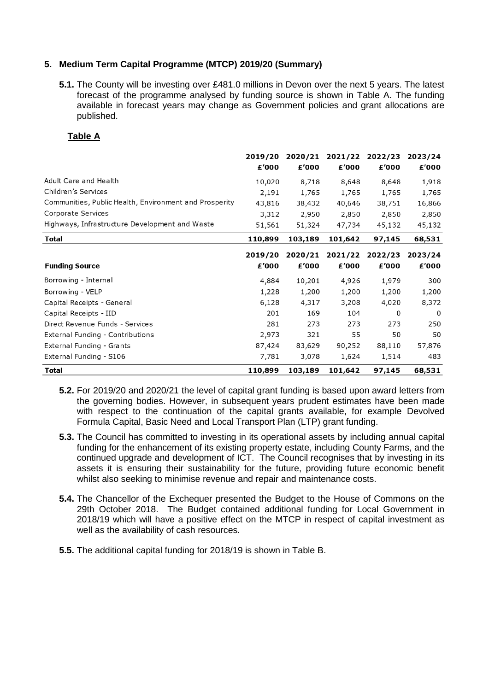### **5. Medium Term Capital Programme (MTCP) 2019/20 (Summary)**

**5.1.** The County will be investing over £481.0 millions in Devon over the next 5 years. The latest forecast of the programme analysed by funding source is shown in Table A. The funding available in forecast years may change as Government policies and grant allocations are published.

### **Table A**

|                                                        | 2019/20 | 2020/21 | 2021/22 | 2022/23 | 2023/24 |
|--------------------------------------------------------|---------|---------|---------|---------|---------|
|                                                        | £'000   | £'000   | £'000   | £'000   | £'000   |
| Adult Care and Health                                  | 10,020  | 8,718   | 8,648   | 8,648   | 1,918   |
| Children's Services                                    | 2,191   | 1,765   | 1,765   | 1,765   | 1,765   |
| Communities, Public Health, Environment and Prosperity | 43,816  | 38,432  | 40,646  | 38,751  | 16,866  |
| Corporate Services                                     | 3,312   | 2,950   | 2,850   | 2,850   | 2,850   |
| Highways, Infrastructure Development and Waste         | 51,561  | 51,324  | 47,734  | 45,132  | 45,132  |
| Total                                                  | 110,899 | 103,189 | 101,642 | 97,145  | 68,531  |
|                                                        | 2019/20 | 2020/21 | 2021/22 | 2022/23 | 2023/24 |
| <b>Funding Source</b>                                  | £'000   | £'000   | £'000   | £'000   | £'000   |
| Borrowing - Internal                                   | 4,884   | 10,201  | 4,926   | 1,979   | 300     |
| Borrowing - VELP                                       | 1,228   | 1,200   | 1,200   | 1,200   | 1,200   |
| Capital Receipts - General                             | 6,128   | 4,317   | 3,208   | 4,020   | 8,372   |
| Capital Receipts - IID                                 | 201     | 169     | 104     | 0       | 0       |
| Direct Revenue Funds - Services                        | 281     | 273     | 273     | 273     | 250     |
| <b>External Funding - Contributions</b>                | 2,973   | 321     | 55      | 50      | 50      |
| External Funding - Grants                              | 87,424  | 83,629  | 90,252  | 88,110  | 57,876  |
| External Funding - S106                                | 7,781   | 3,078   | 1,624   | 1,514   | 483     |
| Total                                                  | 110,899 | 103,189 | 101,642 | 97,145  | 68,531  |

- **5.2.** For 2019/20 and 2020/21 the level of capital grant funding is based upon award letters from the governing bodies. However, in subsequent years prudent estimates have been made with respect to the continuation of the capital grants available, for example Devolved Formula Capital, Basic Need and Local Transport Plan (LTP) grant funding.
- **5.3.** The Council has committed to investing in its operational assets by including annual capital funding for the enhancement of its existing property estate, including County Farms, and the continued upgrade and development of ICT. The Council recognises that by investing in its assets it is ensuring their sustainability for the future, providing future economic benefit whilst also seeking to minimise revenue and repair and maintenance costs.
- **5.4.** The Chancellor of the Exchequer presented the Budget to the House of Commons on the 29th October 2018. The Budget contained additional funding for Local Government in 2018/19 which will have a positive effect on the MTCP in respect of capital investment as well as the availability of cash resources.
- **5.5.** The additional capital funding for 2018/19 is shown in Table B.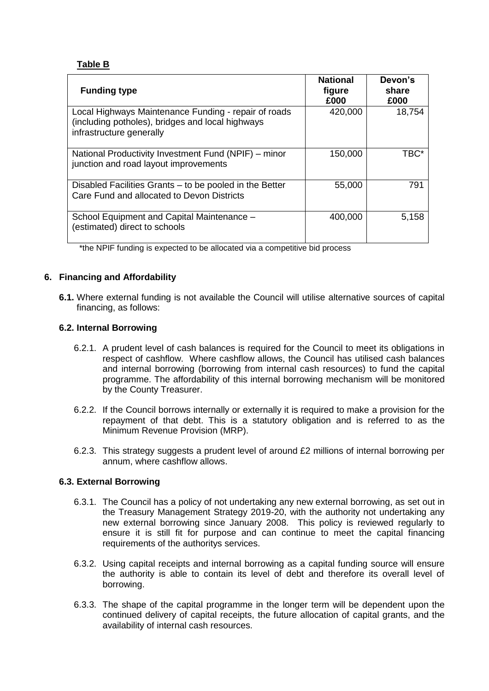## **Table B**

| <b>Funding type</b>                                                                                                                  | <b>National</b><br>figure<br>£000 | Devon's<br>share<br>£000 |
|--------------------------------------------------------------------------------------------------------------------------------------|-----------------------------------|--------------------------|
| Local Highways Maintenance Funding - repair of roads<br>(including potholes), bridges and local highways<br>infrastructure generally | 420,000                           | 18,754                   |
| National Productivity Investment Fund (NPIF) – minor<br>junction and road layout improvements                                        | 150,000                           | TBC*                     |
| Disabled Facilities Grants – to be pooled in the Better<br>Care Fund and allocated to Devon Districts                                | 55,000                            | 791                      |
| School Equipment and Capital Maintenance -<br>(estimated) direct to schools                                                          | 400,000                           | 5,158                    |

\*the NPIF funding is expected to be allocated via a competitive bid process

## **6. Financing and Affordability**

**6.1.** Where external funding is not available the Council will utilise alternative sources of capital financing, as follows:

### **6.2. Internal Borrowing**

- 6.2.1. A prudent level of cash balances is required for the Council to meet its obligations in respect of cashflow. Where cashflow allows, the Council has utilised cash balances and internal borrowing (borrowing from internal cash resources) to fund the capital programme. The affordability of this internal borrowing mechanism will be monitored by the County Treasurer.
- 6.2.2. If the Council borrows internally or externally it is required to make a provision for the repayment of that debt. This is a statutory obligation and is referred to as the Minimum Revenue Provision (MRP).
- 6.2.3. This strategy suggests a prudent level of around £2 millions of internal borrowing per annum, where cashflow allows.

### **6.3. External Borrowing**

- 6.3.1. The Council has a policy of not undertaking any new external borrowing, as set out in the Treasury Management Strategy 2019-20, with the authority not undertaking any new external borrowing since January 2008. This policy is reviewed regularly to ensure it is still fit for purpose and can continue to meet the capital financing requirements of the authoritys services.
- 6.3.2. Using capital receipts and internal borrowing as a capital funding source will ensure the authority is able to contain its level of debt and therefore its overall level of borrowing.
- 6.3.3. The shape of the capital programme in the longer term will be dependent upon the continued delivery of capital receipts, the future allocation of capital grants, and the availability of internal cash resources.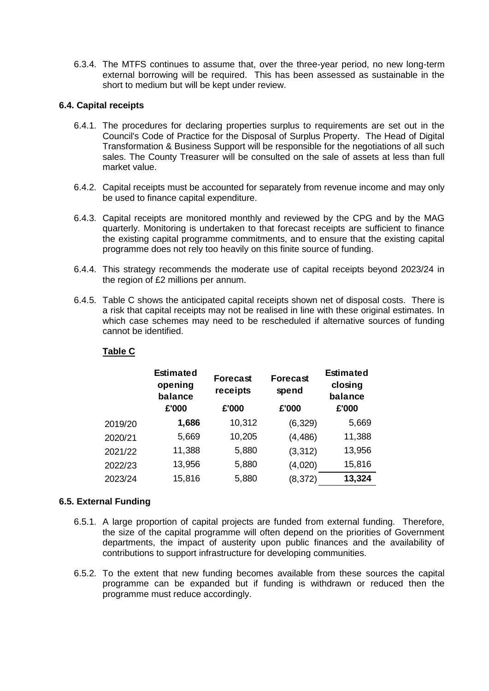6.3.4. The MTFS continues to assume that, over the three-year period, no new long-term external borrowing will be required. This has been assessed as sustainable in the short to medium but will be kept under review.

### **6.4. Capital receipts**

- 6.4.1. The procedures for declaring properties surplus to requirements are set out in the Council's Code of Practice for the Disposal of Surplus Property. The Head of Digital Transformation & Business Support will be responsible for the negotiations of all such sales. The County Treasurer will be consulted on the sale of assets at less than full market value.
- 6.4.2. Capital receipts must be accounted for separately from revenue income and may only be used to finance capital expenditure.
- 6.4.3. Capital receipts are monitored monthly and reviewed by the CPG and by the MAG quarterly. Monitoring is undertaken to that forecast receipts are sufficient to finance the existing capital programme commitments, and to ensure that the existing capital programme does not rely too heavily on this finite source of funding.
- 6.4.4. This strategy recommends the moderate use of capital receipts beyond 2023/24 in the region of £2 millions per annum.
- 6.4.5. Table C shows the anticipated capital receipts shown net of disposal costs. There is a risk that capital receipts may not be realised in line with these original estimates. In which case schemes may need to be rescheduled if alternative sources of funding cannot be identified.

| able |  |
|------|--|
|      |  |

|         | <b>Estimated</b><br>opening<br>balance<br>£'000 | <b>Forecast</b><br>receipts<br>£'000 | <b>Forecast</b><br>spend<br>£'000 | <b>Estimated</b><br>closing<br>balance<br>£'000 |  |
|---------|-------------------------------------------------|--------------------------------------|-----------------------------------|-------------------------------------------------|--|
| 2019/20 | 1,686                                           | 10,312                               | (6, 329)                          | 5,669                                           |  |
| 2020/21 | 5,669                                           | 10,205                               | (4, 486)                          | 11,388                                          |  |
| 2021/22 | 11,388                                          | 5,880                                | (3, 312)                          | 13,956                                          |  |
| 2022/23 | 13,956                                          | 5,880                                | (4,020)                           | 15,816                                          |  |
| 2023/24 | 15,816                                          | 5,880                                | (8, 372)                          | 13,324                                          |  |

### **6.5. External Funding**

- 6.5.1. A large proportion of capital projects are funded from external funding. Therefore, the size of the capital programme will often depend on the priorities of Government departments, the impact of austerity upon public finances and the availability of contributions to support infrastructure for developing communities.
- 6.5.2. To the extent that new funding becomes available from these sources the capital programme can be expanded but if funding is withdrawn or reduced then the programme must reduce accordingly.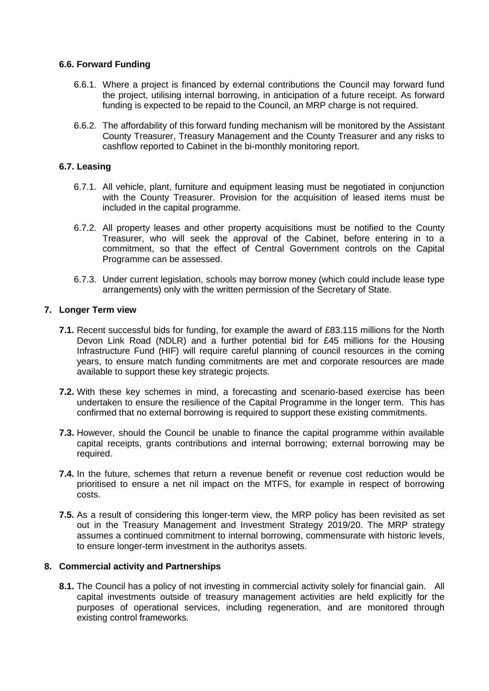#### **6.6. Forward Funding**

- 6.6.1. Where a project is financed by external contributions the Council may forward fund the project, utilising internal borrowing, in anticipation of a future receipt. As forward funding is expected to be repaid to the Council, an MRP charge is not required.
- 6.6.2. The affordability of this forward funding mechanism will be monitored by the Assistant County Treasurer, Treasury Management and the County Treasurer and any risks to cashflow reported to Cabinet in the bi-monthly monitoring report.

### **6.7. Leasing**

- 6.7.1. All vehicle, plant, furniture and equipment leasing must be negotiated in conjunction with the County Treasurer. Provision for the acquisition of leased items must be included in the capital programme.
- 6.7.2. All property leases and other property acquisitions must be notified to the County Treasurer, who will seek the approval of the Cabinet, before entering in to a commitment, so that the effect of Central Government controls on the Capital Programme can be assessed.
- 6.7.3. Under current legislation, schools may borrow money (which could include lease type arrangements) only with the written permission of the Secretary of State.

### **7. Longer Term view**

- **7.1.** Recent successful bids for funding, for example the award of £83.115 millions for the North Devon Link Road (NDLR) and a further potential bid for £45 millions for the Housing Infrastructure Fund (HIF) will require careful planning of council resources in the coming years, to ensure match funding commitments are met and corporate resources are made available to support these key strategic projects.
- **7.2.** With these key schemes in mind, a forecasting and scenario-based exercise has been undertaken to ensure the resilience of the Capital Programme in the longer term. This has confirmed that no external borrowing is required to support these existing commitments.
- **7.3.** However, should the Council be unable to finance the capital programme within available capital receipts, grants contributions and internal borrowing; external borrowing may be required.
- **7.4.** In the future, schemes that return a revenue benefit or revenue cost reduction would be prioritised to ensure a net nil impact on the MTFS, for example in respect of borrowing costs.
- **7.5.** As a result of considering this longer-term view, the MRP policy has been revisited as set out in the Treasury Management and Investment Strategy 2019/20. The MRP strategy assumes a continued commitment to internal borrowing, commensurate with historic levels, to ensure longer-term investment in the authoritys assets.

### **8. Commercial activity and Partnerships**

**8.1.** The Council has a policy of not investing in commercial activity solely for financial gain. All capital investments outside of treasury management activities are held explicitly for the purposes of operational services, including regeneration, and are monitored through existing control frameworks.